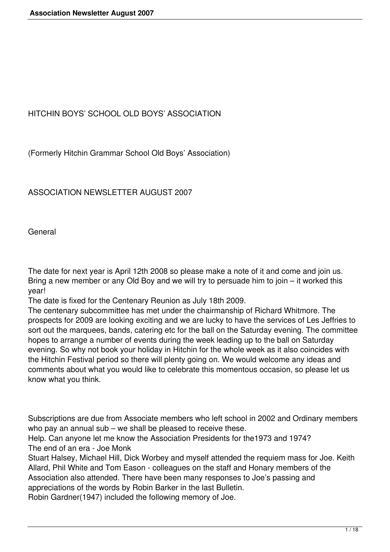## HITCHIN BOYS' SCHOOL OLD BOYS' ASSOCIATION

(Formerly Hitchin Grammar School Old Boys' Association)

ASSOCIATION NEWSLETTER AUGUST 2007

General

The date for next year is April 12th 2008 so please make a note of it and come and join us. Bring a new member or any Old Boy and we will try to persuade him to join – it worked this year!

The date is fixed for the Centenary Reunion as July 18th 2009.

The centenary subcommittee has met under the chairmanship of Richard Whitmore. The prospects for 2009 are looking exciting and we are lucky to have the services of Les Jeffries to sort out the marquees, bands, catering etc for the ball on the Saturday evening. The committee hopes to arrange a number of events during the week leading up to the ball on Saturday evening. So why not book your holiday in Hitchin for the whole week as it also coincides with the Hitchin Festival period so there will plenty going on. We would welcome any ideas and comments about what you would like to celebrate this momentous occasion, so please let us know what you think.

Subscriptions are due from Associate members who left school in 2002 and Ordinary members who pay an annual sub – we shall be pleased to receive these.

Help. Can anyone let me know the Association Presidents for the1973 and 1974? The end of an era - Joe Monk

Stuart Halsey, Michael Hill, Dick Worbey and myself attended the requiem mass for Joe. Keith Allard, Phil White and Tom Eason - colleagues on the staff and Honary members of the Association also attended. There have been many responses to Joe's passing and appreciations of the words by Robin Barker in the last Bulletin.

Robin Gardner(1947) included the following memory of Joe.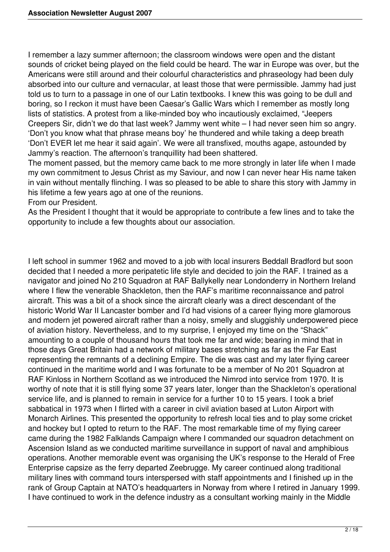I remember a lazy summer afternoon; the classroom windows were open and the distant sounds of cricket being played on the field could be heard. The war in Europe was over, but the Americans were still around and their colourful characteristics and phraseology had been duly absorbed into our culture and vernacular, at least those that were permissible. Jammy had just told us to turn to a passage in one of our Latin textbooks. I knew this was going to be dull and boring, so I reckon it must have been Caesar's Gallic Wars which I remember as mostly long lists of statistics. A protest from a like-minded boy who incautiously exclaimed, "Jeepers Creepers Sir, didn't we do that last week? Jammy went white – I had never seen him so angry. 'Don't you know what that phrase means boy' he thundered and while taking a deep breath 'Don't EVER let me hear it said again'. We were all transfixed, mouths agape, astounded by Jammy's reaction. The afternoon's tranquillity had been shattered.

The moment passed, but the memory came back to me more strongly in later life when I made my own commitment to Jesus Christ as my Saviour, and now I can never hear His name taken in vain without mentally flinching. I was so pleased to be able to share this story with Jammy in his lifetime a few years ago at one of the reunions.

From our President.

As the President I thought that it would be appropriate to contribute a few lines and to take the opportunity to include a few thoughts about our association.

I left school in summer 1962 and moved to a job with local insurers Beddall Bradford but soon decided that I needed a more peripatetic life style and decided to join the RAF. I trained as a navigator and joined No 210 Squadron at RAF Ballykelly near Londonderry in Northern Ireland where I flew the venerable Shackleton, then the RAF's maritime reconnaissance and patrol aircraft. This was a bit of a shock since the aircraft clearly was a direct descendant of the historic World War II Lancaster bomber and I'd had visions of a career flying more glamorous and modern jet powered aircraft rather than a noisy, smelly and sluggishly underpowered piece of aviation history. Nevertheless, and to my surprise, I enjoyed my time on the "Shack" amounting to a couple of thousand hours that took me far and wide; bearing in mind that in those days Great Britain had a network of military bases stretching as far as the Far East representing the remnants of a declining Empire. The die was cast and my later flying career continued in the maritime world and I was fortunate to be a member of No 201 Squadron at RAF Kinloss in Northern Scotland as we introduced the Nimrod into service from 1970. It is worthy of note that it is still flying some 37 years later, longer than the Shackleton's operational service life, and is planned to remain in service for a further 10 to 15 years. I took a brief sabbatical in 1973 when I flirted with a career in civil aviation based at Luton Airport with Monarch Airlines. This presented the opportunity to refresh local ties and to play some cricket and hockey but I opted to return to the RAF. The most remarkable time of my flying career came during the 1982 Falklands Campaign where I commanded our squadron detachment on Ascension Island as we conducted maritime surveillance in support of naval and amphibious operations. Another memorable event was organising the UK's response to the Herald of Free Enterprise capsize as the ferry departed Zeebrugge. My career continued along traditional military lines with command tours interspersed with staff appointments and I finished up in the rank of Group Captain at NATO's headquarters in Norway from where I retired in January 1999. I have continued to work in the defence industry as a consultant working mainly in the Middle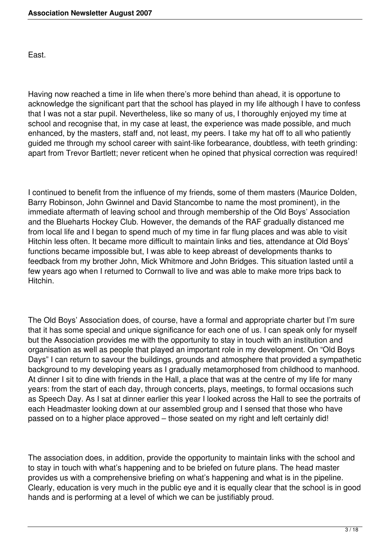East.

Having now reached a time in life when there's more behind than ahead, it is opportune to acknowledge the significant part that the school has played in my life although I have to confess that I was not a star pupil. Nevertheless, like so many of us, I thoroughly enjoyed my time at school and recognise that, in my case at least, the experience was made possible, and much enhanced, by the masters, staff and, not least, my peers. I take my hat off to all who patiently guided me through my school career with saint-like forbearance, doubtless, with teeth grinding: apart from Trevor Bartlett; never reticent when he opined that physical correction was required!

I continued to benefit from the influence of my friends, some of them masters (Maurice Dolden, Barry Robinson, John Gwinnel and David Stancombe to name the most prominent), in the immediate aftermath of leaving school and through membership of the Old Boys' Association and the Blueharts Hockey Club. However, the demands of the RAF gradually distanced me from local life and I began to spend much of my time in far flung places and was able to visit Hitchin less often. It became more difficult to maintain links and ties, attendance at Old Boys' functions became impossible but, I was able to keep abreast of developments thanks to feedback from my brother John, Mick Whitmore and John Bridges. This situation lasted until a few years ago when I returned to Cornwall to live and was able to make more trips back to Hitchin.

The Old Boys' Association does, of course, have a formal and appropriate charter but I'm sure that it has some special and unique significance for each one of us. I can speak only for myself but the Association provides me with the opportunity to stay in touch with an institution and organisation as well as people that played an important role in my development. On "Old Boys Days" I can return to savour the buildings, grounds and atmosphere that provided a sympathetic background to my developing years as I gradually metamorphosed from childhood to manhood. At dinner I sit to dine with friends in the Hall, a place that was at the centre of my life for many years: from the start of each day, through concerts, plays, meetings, to formal occasions such as Speech Day. As I sat at dinner earlier this year I looked across the Hall to see the portraits of each Headmaster looking down at our assembled group and I sensed that those who have passed on to a higher place approved – those seated on my right and left certainly did!

The association does, in addition, provide the opportunity to maintain links with the school and to stay in touch with what's happening and to be briefed on future plans. The head master provides us with a comprehensive briefing on what's happening and what is in the pipeline. Clearly, education is very much in the public eye and it is equally clear that the school is in good hands and is performing at a level of which we can be justifiably proud.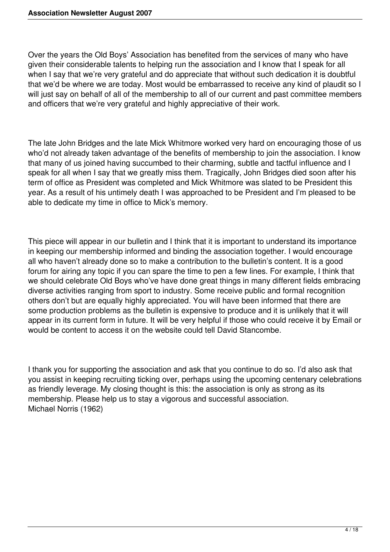Over the years the Old Boys' Association has benefited from the services of many who have given their considerable talents to helping run the association and I know that I speak for all when I say that we're very grateful and do appreciate that without such dedication it is doubtful that we'd be where we are today. Most would be embarrassed to receive any kind of plaudit so I will just say on behalf of all of the membership to all of our current and past committee members and officers that we're very grateful and highly appreciative of their work.

The late John Bridges and the late Mick Whitmore worked very hard on encouraging those of us who'd not already taken advantage of the benefits of membership to join the association. I know that many of us joined having succumbed to their charming, subtle and tactful influence and I speak for all when I say that we greatly miss them. Tragically, John Bridges died soon after his term of office as President was completed and Mick Whitmore was slated to be President this year. As a result of his untimely death I was approached to be President and I'm pleased to be able to dedicate my time in office to Mick's memory.

This piece will appear in our bulletin and I think that it is important to understand its importance in keeping our membership informed and binding the association together. I would encourage all who haven't already done so to make a contribution to the bulletin's content. It is a good forum for airing any topic if you can spare the time to pen a few lines. For example, I think that we should celebrate Old Boys who've have done great things in many different fields embracing diverse activities ranging from sport to industry. Some receive public and formal recognition others don't but are equally highly appreciated. You will have been informed that there are some production problems as the bulletin is expensive to produce and it is unlikely that it will appear in its current form in future. It will be very helpful if those who could receive it by Email or would be content to access it on the website could tell David Stancombe.

I thank you for supporting the association and ask that you continue to do so. I'd also ask that you assist in keeping recruiting ticking over, perhaps using the upcoming centenary celebrations as friendly leverage. My closing thought is this: the association is only as strong as its membership. Please help us to stay a vigorous and successful association. Michael Norris (1962)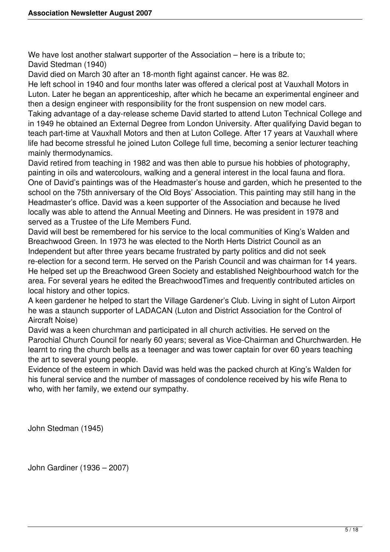We have lost another stalwart supporter of the Association – here is a tribute to; David Stedman (1940)

David died on March 30 after an 18-month fight against cancer. He was 82.

He left school in 1940 and four months later was offered a clerical post at Vauxhall Motors in Luton. Later he began an apprenticeship, after which he became an experimental engineer and then a design engineer with responsibility for the front suspension on new model cars.

Taking advantage of a day-release scheme David started to attend Luton Technical College and in 1949 he obtained an External Degree from London University. After qualifying David began to teach part-time at Vauxhall Motors and then at Luton College. After 17 years at Vauxhall where life had become stressful he joined Luton College full time, becoming a senior lecturer teaching mainly thermodynamics.

David retired from teaching in 1982 and was then able to pursue his hobbies of photography, painting in oils and watercolours, walking and a general interest in the local fauna and flora. One of David's paintings was of the Headmaster's house and garden, which he presented to the school on the 75th anniversary of the Old Boys' Association. This painting may still hang in the Headmaster's office. David was a keen supporter of the Association and because he lived locally was able to attend the Annual Meeting and Dinners. He was president in 1978 and served as a Trustee of the Life Members Fund.

David will best be remembered for his service to the local communities of King's Walden and Breachwood Green. In 1973 he was elected to the North Herts District Council as an Independent but after three years became frustrated by party politics and did not seek re-election for a second term. He served on the Parish Council and was chairman for 14 years. He helped set up the Breachwood Green Society and established Neighbourhood watch for the area. For several years he edited the BreachwoodTimes and frequently contributed articles on local history and other topics.

A keen gardener he helped to start the Village Gardener's Club. Living in sight of Luton Airport he was a staunch supporter of LADACAN (Luton and District Association for the Control of Aircraft Noise)

David was a keen churchman and participated in all church activities. He served on the Parochial Church Council for nearly 60 years; several as Vice-Chairman and Churchwarden. He learnt to ring the church bells as a teenager and was tower captain for over 60 years teaching the art to several young people.

Evidence of the esteem in which David was held was the packed church at King's Walden for his funeral service and the number of massages of condolence received by his wife Rena to who, with her family, we extend our sympathy.

John Stedman (1945)

John Gardiner (1936 – 2007)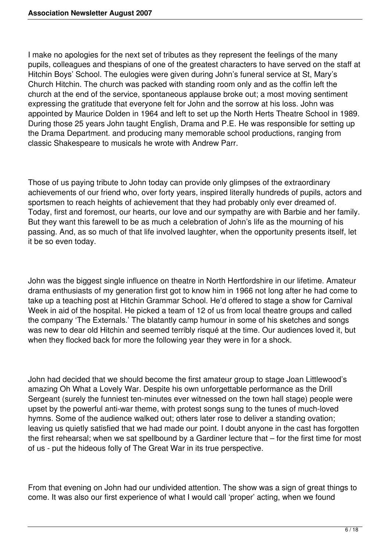I make no apologies for the next set of tributes as they represent the feelings of the many pupils, colleagues and thespians of one of the greatest characters to have served on the staff at Hitchin Boys' School. The eulogies were given during John's funeral service at St, Mary's Church Hitchin. The church was packed with standing room only and as the coffin left the church at the end of the service, spontaneous applause broke out; a most moving sentiment expressing the gratitude that everyone felt for John and the sorrow at his loss. John was appointed by Maurice Dolden in 1964 and left to set up the North Herts Theatre School in 1989. During those 25 years John taught English, Drama and P.E. He was responsible for setting up the Drama Department. and producing many memorable school productions, ranging from classic Shakespeare to musicals he wrote with Andrew Parr.

Those of us paying tribute to John today can provide only glimpses of the extraordinary achievements of our friend who, over forty years, inspired literally hundreds of pupils, actors and sportsmen to reach heights of achievement that they had probably only ever dreamed of. Today, first and foremost, our hearts, our love and our sympathy are with Barbie and her family. But they want this farewell to be as much a celebration of John's life as the mourning of his passing. And, as so much of that life involved laughter, when the opportunity presents itself, let it be so even today.

John was the biggest single influence on theatre in North Hertfordshire in our lifetime. Amateur drama enthusiasts of my generation first got to know him in 1966 not long after he had come to take up a teaching post at Hitchin Grammar School. He'd offered to stage a show for Carnival Week in aid of the hospital. He picked a team of 12 of us from local theatre groups and called the company 'The Externals.' The blatantly camp humour in some of his sketches and songs was new to dear old Hitchin and seemed terribly risqué at the time. Our audiences loved it, but when they flocked back for more the following year they were in for a shock.

John had decided that we should become the first amateur group to stage Joan Littlewood's amazing Oh What a Lovely War. Despite his own unforgettable performance as the Drill Sergeant (surely the funniest ten-minutes ever witnessed on the town hall stage) people were upset by the powerful anti-war theme, with protest songs sung to the tunes of much-loved hymns. Some of the audience walked out; others later rose to deliver a standing ovation; leaving us quietly satisfied that we had made our point. I doubt anyone in the cast has forgotten the first rehearsal; when we sat spellbound by a Gardiner lecture that – for the first time for most of us - put the hideous folly of The Great War in its true perspective.

From that evening on John had our undivided attention. The show was a sign of great things to come. It was also our first experience of what I would call 'proper' acting, when we found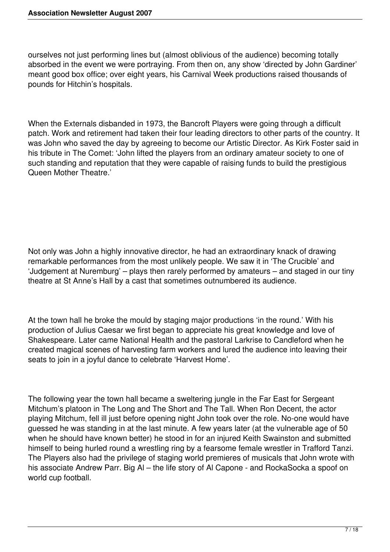ourselves not just performing lines but (almost oblivious of the audience) becoming totally absorbed in the event we were portraying. From then on, any show 'directed by John Gardiner' meant good box office; over eight years, his Carnival Week productions raised thousands of pounds for Hitchin's hospitals.

When the Externals disbanded in 1973, the Bancroft Players were going through a difficult patch. Work and retirement had taken their four leading directors to other parts of the country. It was John who saved the day by agreeing to become our Artistic Director. As Kirk Foster said in his tribute in The Comet: 'John lifted the players from an ordinary amateur society to one of such standing and reputation that they were capable of raising funds to build the prestigious Queen Mother Theatre.'

Not only was John a highly innovative director, he had an extraordinary knack of drawing remarkable performances from the most unlikely people. We saw it in 'The Crucible' and 'Judgement at Nuremburg' – plays then rarely performed by amateurs – and staged in our tiny theatre at St Anne's Hall by a cast that sometimes outnumbered its audience.

At the town hall he broke the mould by staging major productions 'in the round.' With his production of Julius Caesar we first began to appreciate his great knowledge and love of Shakespeare. Later came National Health and the pastoral Larkrise to Candleford when he created magical scenes of harvesting farm workers and lured the audience into leaving their seats to join in a joyful dance to celebrate 'Harvest Home'.

The following year the town hall became a sweltering jungle in the Far East for Sergeant Mitchum's platoon in The Long and The Short and The Tall. When Ron Decent, the actor playing Mitchum, fell ill just before opening night John took over the role. No-one would have guessed he was standing in at the last minute. A few years later (at the vulnerable age of 50 when he should have known better) he stood in for an injured Keith Swainston and submitted himself to being hurled round a wrestling ring by a fearsome female wrestler in Trafford Tanzi. The Players also had the privilege of staging world premieres of musicals that John wrote with his associate Andrew Parr. Big Al – the life story of Al Capone - and RockaSocka a spoof on world cup football.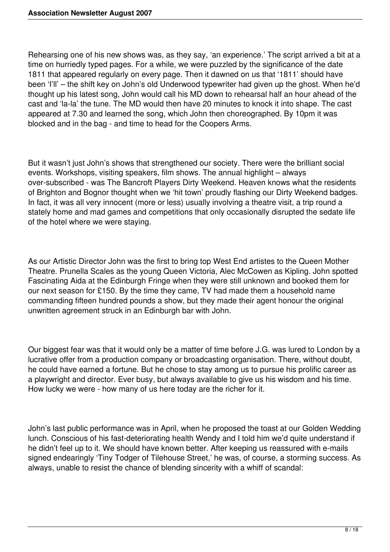Rehearsing one of his new shows was, as they say, 'an experience.' The script arrived a bit at a time on hurriedly typed pages. For a while, we were puzzled by the significance of the date 1811 that appeared regularly on every page. Then it dawned on us that '1811' should have been 'I'll' – the shift key on John's old Underwood typewriter had given up the ghost. When he'd thought up his latest song, John would call his MD down to rehearsal half an hour ahead of the cast and 'la-la' the tune. The MD would then have 20 minutes to knock it into shape. The cast appeared at 7.30 and learned the song, which John then choreographed. By 10pm it was blocked and in the bag - and time to head for the Coopers Arms.

But it wasn't just John's shows that strengthened our society. There were the brilliant social events. Workshops, visiting speakers, film shows. The annual highlight – always over-subscribed - was The Bancroft Players Dirty Weekend. Heaven knows what the residents of Brighton and Bognor thought when we 'hit town' proudly flashing our Dirty Weekend badges. In fact, it was all very innocent (more or less) usually involving a theatre visit, a trip round a stately home and mad games and competitions that only occasionally disrupted the sedate life of the hotel where we were staying.

As our Artistic Director John was the first to bring top West End artistes to the Queen Mother Theatre. Prunella Scales as the young Queen Victoria, Alec McCowen as Kipling. John spotted Fascinating Aida at the Edinburgh Fringe when they were still unknown and booked them for our next season for £150. By the time they came, TV had made them a household name commanding fifteen hundred pounds a show, but they made their agent honour the original unwritten agreement struck in an Edinburgh bar with John.

Our biggest fear was that it would only be a matter of time before J.G. was lured to London by a lucrative offer from a production company or broadcasting organisation. There, without doubt, he could have earned a fortune. But he chose to stay among us to pursue his prolific career as a playwright and director. Ever busy, but always available to give us his wisdom and his time. How lucky we were - how many of us here today are the richer for it.

John's last public performance was in April, when he proposed the toast at our Golden Wedding lunch. Conscious of his fast-deteriorating health Wendy and I told him we'd quite understand if he didn't feel up to it. We should have known better. After keeping us reassured with e-mails signed endearingly 'Tiny Todger of Tilehouse Street,' he was, of course, a storming success. As always, unable to resist the chance of blending sincerity with a whiff of scandal: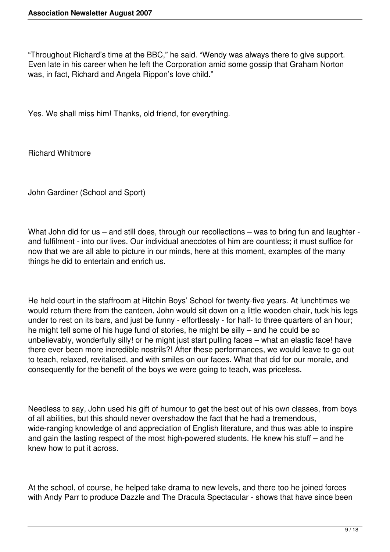"Throughout Richard's time at the BBC," he said. "Wendy was always there to give support. Even late in his career when he left the Corporation amid some gossip that Graham Norton was, in fact, Richard and Angela Rippon's love child."

Yes. We shall miss him! Thanks, old friend, for everything.

Richard Whitmore

John Gardiner (School and Sport)

What John did for us – and still does, through our recollections – was to bring fun and laughter and fulfilment - into our lives. Our individual anecdotes of him are countless; it must suffice for now that we are all able to picture in our minds, here at this moment, examples of the many things he did to entertain and enrich us.

He held court in the staffroom at Hitchin Boys' School for twenty-five years. At lunchtimes we would return there from the canteen, John would sit down on a little wooden chair, tuck his legs under to rest on its bars, and just be funny - effortlessly - for half- to three quarters of an hour; he might tell some of his huge fund of stories, he might be silly – and he could be so unbelievably, wonderfully silly! or he might just start pulling faces – what an elastic face! have there ever been more incredible nostrils?! After these performances, we would leave to go out to teach, relaxed, revitalised, and with smiles on our faces. What that did for our morale, and consequently for the benefit of the boys we were going to teach, was priceless.

Needless to say, John used his gift of humour to get the best out of his own classes, from boys of all abilities, but this should never overshadow the fact that he had a tremendous, wide-ranging knowledge of and appreciation of English literature, and thus was able to inspire and gain the lasting respect of the most high-powered students. He knew his stuff – and he knew how to put it across.

At the school, of course, he helped take drama to new levels, and there too he joined forces with Andy Parr to produce Dazzle and The Dracula Spectacular - shows that have since been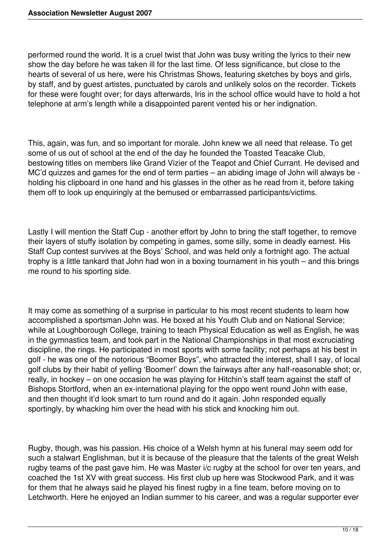performed round the world. It is a cruel twist that John was busy writing the lyrics to their new show the day before he was taken ill for the last time. Of less significance, but close to the hearts of several of us here, were his Christmas Shows, featuring sketches by boys and girls, by staff, and by guest artistes, punctuated by carols and unlikely solos on the recorder. Tickets for these were fought over; for days afterwards, Iris in the school office would have to hold a hot telephone at arm's length while a disappointed parent vented his or her indignation.

This, again, was fun, and so important for morale. John knew we all need that release. To get some of us out of school at the end of the day he founded the Toasted Teacake Club, bestowing titles on members like Grand Vizier of the Teapot and Chief Currant. He devised and MC'd quizzes and games for the end of term parties – an abiding image of John will always be holding his clipboard in one hand and his glasses in the other as he read from it, before taking them off to look up enquiringly at the bemused or embarrassed participants/victims.

Lastly I will mention the Staff Cup - another effort by John to bring the staff together, to remove their layers of stuffy isolation by competing in games, some silly, some in deadly earnest. His Staff Cup contest survives at the Boys' School, and was held only a fortnight ago. The actual trophy is a little tankard that John had won in a boxing tournament in his youth – and this brings me round to his sporting side.

It may come as something of a surprise in particular to his most recent students to learn how accomplished a sportsman John was. He boxed at his Youth Club and on National Service; while at Loughborough College, training to teach Physical Education as well as English, he was in the gymnastics team, and took part in the National Championships in that most excruciating discipline, the rings. He participated in most sports with some facility; not perhaps at his best in golf - he was one of the notorious "Boomer Boys", who attracted the interest, shall I say, of local golf clubs by their habit of yelling 'Boomer!' down the fairways after any half-reasonable shot; or, really, in hockey – on one occasion he was playing for Hitchin's staff team against the staff of Bishops Stortford, when an ex-international playing for the oppo went round John with ease, and then thought it'd look smart to turn round and do it again. John responded equally sportingly, by whacking him over the head with his stick and knocking him out.

Rugby, though, was his passion. His choice of a Welsh hymn at his funeral may seem odd for such a stalwart Englishman, but it is because of the pleasure that the talents of the great Welsh rugby teams of the past gave him. He was Master i/c rugby at the school for over ten years, and coached the 1st XV with great success. His first club up here was Stockwood Park, and it was for them that he always said he played his finest rugby in a fine team, before moving on to Letchworth. Here he enjoyed an Indian summer to his career, and was a regular supporter ever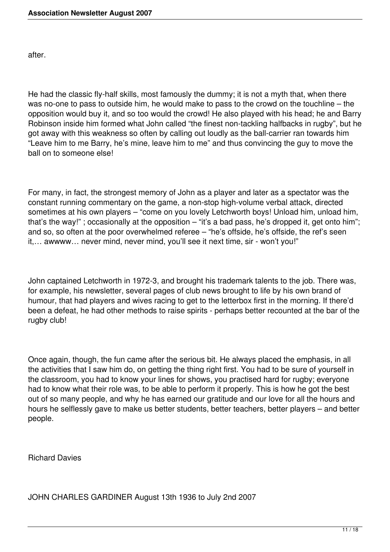after.

He had the classic fly-half skills, most famously the dummy; it is not a myth that, when there was no-one to pass to outside him, he would make to pass to the crowd on the touchline – the opposition would buy it, and so too would the crowd! He also played with his head; he and Barry Robinson inside him formed what John called "the finest non-tackling halfbacks in rugby", but he got away with this weakness so often by calling out loudly as the ball-carrier ran towards him "Leave him to me Barry, he's mine, leave him to me" and thus convincing the guy to move the ball on to someone else!

For many, in fact, the strongest memory of John as a player and later as a spectator was the constant running commentary on the game, a non-stop high-volume verbal attack, directed sometimes at his own players – "come on you lovely Letchworth boys! Unload him, unload him, that's the way!"; occasionally at the opposition – "it's a bad pass, he's dropped it, get onto him"; and so, so often at the poor overwhelmed referee – "he's offside, he's offside, the ref's seen it,… awwww… never mind, never mind, you'll see it next time, sir - won't you!"

John captained Letchworth in 1972-3, and brought his trademark talents to the job. There was, for example, his newsletter, several pages of club news brought to life by his own brand of humour, that had players and wives racing to get to the letterbox first in the morning. If there'd been a defeat, he had other methods to raise spirits - perhaps better recounted at the bar of the rugby club!

Once again, though, the fun came after the serious bit. He always placed the emphasis, in all the activities that I saw him do, on getting the thing right first. You had to be sure of yourself in the classroom, you had to know your lines for shows, you practised hard for rugby; everyone had to know what their role was, to be able to perform it properly. This is how he got the best out of so many people, and why he has earned our gratitude and our love for all the hours and hours he selflessly gave to make us better students, better teachers, better players – and better people.

Richard Davies

JOHN CHARLES GARDINER August 13th 1936 to July 2nd 2007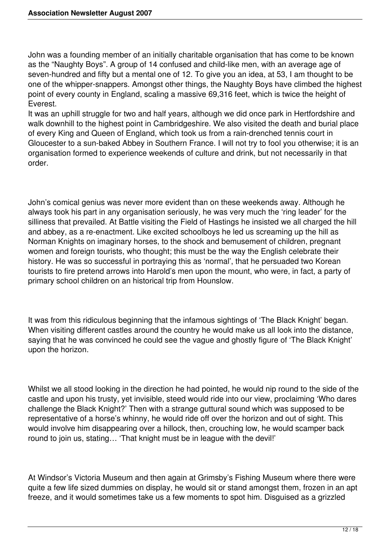John was a founding member of an initially charitable organisation that has come to be known as the "Naughty Boys". A group of 14 confused and child-like men, with an average age of seven-hundred and fifty but a mental one of 12. To give you an idea, at 53, I am thought to be one of the whipper-snappers. Amongst other things, the Naughty Boys have climbed the highest point of every county in England, scaling a massive 69,316 feet, which is twice the height of Everest.

It was an uphill struggle for two and half years, although we did once park in Hertfordshire and walk downhill to the highest point in Cambridgeshire. We also visited the death and burial place of every King and Queen of England, which took us from a rain-drenched tennis court in Gloucester to a sun-baked Abbey in Southern France. I will not try to fool you otherwise; it is an organisation formed to experience weekends of culture and drink, but not necessarily in that order.

John's comical genius was never more evident than on these weekends away. Although he always took his part in any organisation seriously, he was very much the 'ring leader' for the silliness that prevailed. At Battle visiting the Field of Hastings he insisted we all charged the hill and abbey, as a re-enactment. Like excited schoolboys he led us screaming up the hill as Norman Knights on imaginary horses, to the shock and bemusement of children, pregnant women and foreign tourists, who thought; this must be the way the English celebrate their history. He was so successful in portraying this as 'normal', that he persuaded two Korean tourists to fire pretend arrows into Harold's men upon the mount, who were, in fact, a party of primary school children on an historical trip from Hounslow.

It was from this ridiculous beginning that the infamous sightings of 'The Black Knight' began. When visiting different castles around the country he would make us all look into the distance, saying that he was convinced he could see the vague and ghostly figure of 'The Black Knight' upon the horizon.

Whilst we all stood looking in the direction he had pointed, he would nip round to the side of the castle and upon his trusty, yet invisible, steed would ride into our view, proclaiming 'Who dares challenge the Black Knight?' Then with a strange guttural sound which was supposed to be representative of a horse's whinny, he would ride off over the horizon and out of sight. This would involve him disappearing over a hillock, then, crouching low, he would scamper back round to join us, stating... 'That knight must be in league with the devil!'

At Windsor's Victoria Museum and then again at Grimsby's Fishing Museum where there were quite a few life sized dummies on display, he would sit or stand amongst them, frozen in an apt freeze, and it would sometimes take us a few moments to spot him. Disguised as a grizzled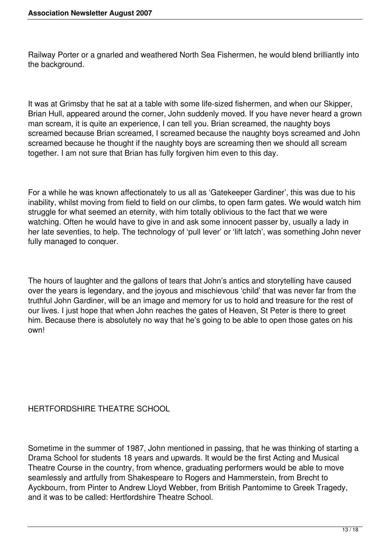Railway Porter or a gnarled and weathered North Sea Fishermen, he would blend brilliantly into the background.

It was at Grimsby that he sat at a table with some life-sized fishermen, and when our Skipper, Brian Hull, appeared around the corner, John suddenly moved. If you have never heard a grown man scream, it is quite an experience, I can tell you. Brian screamed, the naughty boys screamed because Brian screamed, I screamed because the naughty boys screamed and John screamed because he thought if the naughty boys are screaming then we should all scream together. I am not sure that Brian has fully forgiven him even to this day.

For a while he was known affectionately to us all as 'Gatekeeper Gardiner', this was due to his inability, whilst moving from field to field on our climbs, to open farm gates. We would watch him struggle for what seemed an eternity, with him totally oblivious to the fact that we were watching. Often he would have to give in and ask some innocent passer by, usually a lady in her late seventies, to help. The technology of 'pull lever' or 'lift latch', was something John never fully managed to conquer.

The hours of laughter and the gallons of tears that John's antics and storytelling have caused over the years is legendary, and the joyous and mischievous 'child' that was never far from the truthful John Gardiner, will be an image and memory for us to hold and treasure for the rest of our lives. I just hope that when John reaches the gates of Heaven, St Peter is there to greet him. Because there is absolutely no way that he's going to be able to open those gates on his own!

## HERTFORDSHIRE THEATRE SCHOOL

Sometime in the summer of 1987, John mentioned in passing, that he was thinking of starting a Drama School for students 18 years and upwards. It would be the first Acting and Musical Theatre Course in the country, from whence, graduating performers would be able to move seamlessly and artfully from Shakespeare to Rogers and Hammerstein, from Brecht to Ayckbourn, from Pinter to Andrew Lloyd Webber, from British Pantomime to Greek Tragedy, and it was to be called: Hertfordshire Theatre School.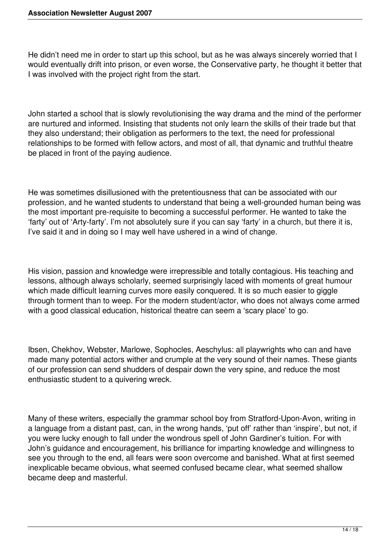He didn't need me in order to start up this school, but as he was always sincerely worried that I would eventually drift into prison, or even worse, the Conservative party, he thought it better that I was involved with the project right from the start.

John started a school that is slowly revolutionising the way drama and the mind of the performer are nurtured and informed. Insisting that students not only learn the skills of their trade but that they also understand; their obligation as performers to the text, the need for professional relationships to be formed with fellow actors, and most of all, that dynamic and truthful theatre be placed in front of the paying audience.

He was sometimes disillusioned with the pretentiousness that can be associated with our profession, and he wanted students to understand that being a well-grounded human being was the most important pre-requisite to becoming a successful performer. He wanted to take the 'farty' out of 'Arty-farty'. I'm not absolutely sure if you can say 'farty' in a church, but there it is, I've said it and in doing so I may well have ushered in a wind of change.

His vision, passion and knowledge were irrepressible and totally contagious. His teaching and lessons, although always scholarly, seemed surprisingly laced with moments of great humour which made difficult learning curves more easily conquered. It is so much easier to giggle through torment than to weep. For the modern student/actor, who does not always come armed with a good classical education, historical theatre can seem a 'scary place' to go.

Ibsen, Chekhov, Webster, Marlowe, Sophocles, Aeschylus: all playwrights who can and have made many potential actors wither and crumple at the very sound of their names. These giants of our profession can send shudders of despair down the very spine, and reduce the most enthusiastic student to a quivering wreck.

Many of these writers, especially the grammar school boy from Stratford-Upon-Avon, writing in a language from a distant past, can, in the wrong hands, 'put off' rather than 'inspire', but not, if you were lucky enough to fall under the wondrous spell of John Gardiner's tuition. For with John's guidance and encouragement, his brilliance for imparting knowledge and willingness to see you through to the end, all fears were soon overcome and banished. What at first seemed inexplicable became obvious, what seemed confused became clear, what seemed shallow became deep and masterful.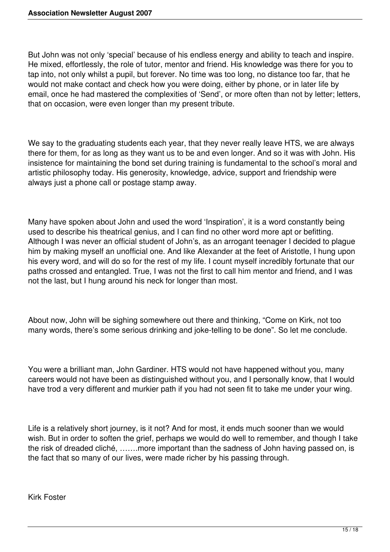But John was not only 'special' because of his endless energy and ability to teach and inspire. He mixed, effortlessly, the role of tutor, mentor and friend. His knowledge was there for you to tap into, not only whilst a pupil, but forever. No time was too long, no distance too far, that he would not make contact and check how you were doing, either by phone, or in later life by email, once he had mastered the complexities of 'Send', or more often than not by letter; letters, that on occasion, were even longer than my present tribute.

We say to the graduating students each year, that they never really leave HTS, we are always there for them, for as long as they want us to be and even longer. And so it was with John. His insistence for maintaining the bond set during training is fundamental to the school's moral and artistic philosophy today. His generosity, knowledge, advice, support and friendship were always just a phone call or postage stamp away.

Many have spoken about John and used the word 'Inspiration', it is a word constantly being used to describe his theatrical genius, and I can find no other word more apt or befitting. Although I was never an official student of John's, as an arrogant teenager I decided to plague him by making myself an unofficial one. And like Alexander at the feet of Aristotle, I hung upon his every word, and will do so for the rest of my life. I count myself incredibly fortunate that our paths crossed and entangled. True, I was not the first to call him mentor and friend, and I was not the last, but I hung around his neck for longer than most.

About now, John will be sighing somewhere out there and thinking, "Come on Kirk, not too many words, there's some serious drinking and joke-telling to be done". So let me conclude.

You were a brilliant man, John Gardiner. HTS would not have happened without you, many careers would not have been as distinguished without you, and I personally know, that I would have trod a very different and murkier path if you had not seen fit to take me under your wing.

Life is a relatively short journey, is it not? And for most, it ends much sooner than we would wish. But in order to soften the grief, perhaps we would do well to remember, and though I take the risk of dreaded cliché, …….more important than the sadness of John having passed on, is the fact that so many of our lives, were made richer by his passing through.

Kirk Foster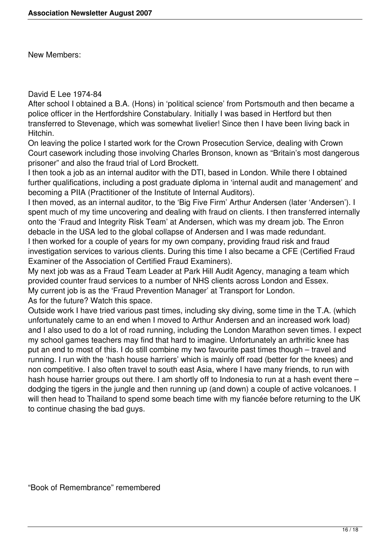New Members:

## David E Lee 1974-84

After school I obtained a B.A. (Hons) in 'political science' from Portsmouth and then became a police officer in the Hertfordshire Constabulary. Initially I was based in Hertford but then transferred to Stevenage, which was somewhat livelier! Since then I have been living back in Hitchin.

On leaving the police I started work for the Crown Prosecution Service, dealing with Crown Court casework including those involving Charles Bronson, known as "Britain's most dangerous prisoner" and also the fraud trial of Lord Brockett.

I then took a job as an internal auditor with the DTI, based in London. While there I obtained further qualifications, including a post graduate diploma in 'internal audit and management' and becoming a PIIA (Practitioner of the Institute of Internal Auditors).

I then moved, as an internal auditor, to the 'Big Five Firm' Arthur Andersen (later 'Andersen'). I spent much of my time uncovering and dealing with fraud on clients. I then transferred internally onto the 'Fraud and Integrity Risk Team' at Andersen, which was my dream job. The Enron debacle in the USA led to the global collapse of Andersen and I was made redundant. I then worked for a couple of years for my own company, providing fraud risk and fraud investigation services to various clients. During this time I also became a CFE (Certified Fraud Examiner of the Association of Certified Fraud Examiners).

My next job was as a Fraud Team Leader at Park Hill Audit Agency, managing a team which provided counter fraud services to a number of NHS clients across London and Essex. My current job is as the 'Fraud Prevention Manager' at Transport for London. As for the future? Watch this space.

Outside work I have tried various past times, including sky diving, some time in the T.A. (which unfortunately came to an end when I moved to Arthur Andersen and an increased work load) and I also used to do a lot of road running, including the London Marathon seven times. I expect my school games teachers may find that hard to imagine. Unfortunately an arthritic knee has put an end to most of this. I do still combine my two favourite past times though – travel and running. I run with the 'hash house harriers' which is mainly off road (better for the knees) and non competitive. I also often travel to south east Asia, where I have many friends, to run with hash house harrier groups out there. I am shortly off to Indonesia to run at a hash event there – dodging the tigers in the jungle and then running up (and down) a couple of active volcanoes. I will then head to Thailand to spend some beach time with my fiancée before returning to the UK to continue chasing the bad guys.

"Book of Remembrance" remembered